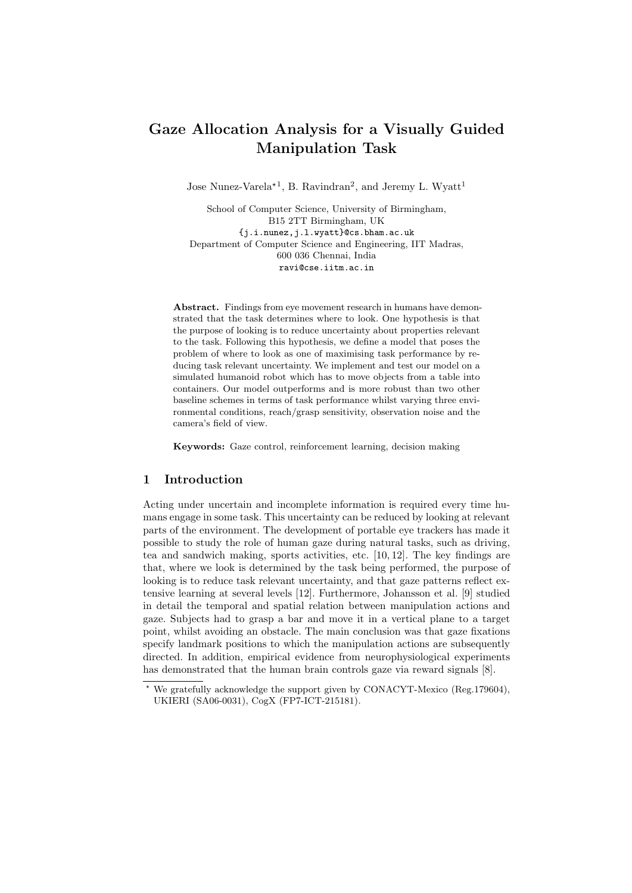# Gaze Allocation Analysis for a Visually Guided Manipulation Task

Jose Nunez-Varela<sup>\*1</sup>, B. Ravindran<sup>2</sup>, and Jeremy L. Wyatt<sup>1</sup>

School of Computer Science, University of Birmingham, B15 2TT Birmingham, UK {j.i.nunez,j.l.wyatt}@cs.bham.ac.uk Department of Computer Science and Engineering, IIT Madras, 600 036 Chennai, India ravi@cse.iitm.ac.in

Abstract. Findings from eye movement research in humans have demonstrated that the task determines where to look. One hypothesis is that the purpose of looking is to reduce uncertainty about properties relevant to the task. Following this hypothesis, we define a model that poses the problem of where to look as one of maximising task performance by reducing task relevant uncertainty. We implement and test our model on a simulated humanoid robot which has to move objects from a table into containers. Our model outperforms and is more robust than two other baseline schemes in terms of task performance whilst varying three environmental conditions, reach/grasp sensitivity, observation noise and the camera's field of view.

Keywords: Gaze control, reinforcement learning, decision making

# 1 Introduction

Acting under uncertain and incomplete information is required every time humans engage in some task. This uncertainty can be reduced by looking at relevant parts of the environment. The development of portable eye trackers has made it possible to study the role of human gaze during natural tasks, such as driving, tea and sandwich making, sports activities, etc. [10, 12]. The key findings are that, where we look is determined by the task being performed, the purpose of looking is to reduce task relevant uncertainty, and that gaze patterns reflect extensive learning at several levels [12]. Furthermore, Johansson et al. [9] studied in detail the temporal and spatial relation between manipulation actions and gaze. Subjects had to grasp a bar and move it in a vertical plane to a target point, whilst avoiding an obstacle. The main conclusion was that gaze fixations specify landmark positions to which the manipulation actions are subsequently directed. In addition, empirical evidence from neurophysiological experiments has demonstrated that the human brain controls gaze via reward signals [8].

We gratefully acknowledge the support given by CONACYT-Mexico (Reg.179604), UKIERI (SA06-0031), CogX (FP7-ICT-215181).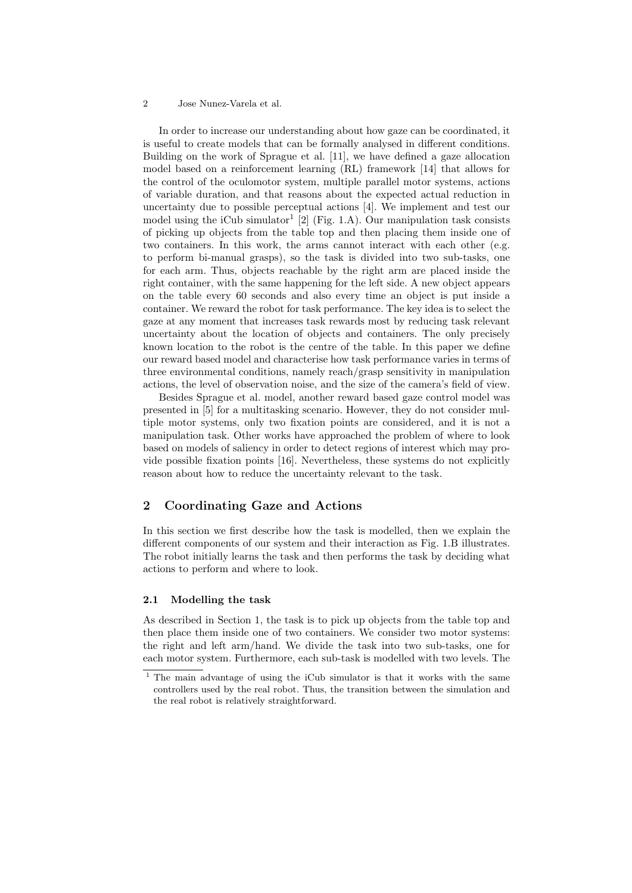In order to increase our understanding about how gaze can be coordinated, it is useful to create models that can be formally analysed in different conditions. Building on the work of Sprague et al. [11], we have defined a gaze allocation model based on a reinforcement learning (RL) framework [14] that allows for the control of the oculomotor system, multiple parallel motor systems, actions of variable duration, and that reasons about the expected actual reduction in uncertainty due to possible perceptual actions [4]. We implement and test our model using the iCub simulator<sup>1</sup> [2] (Fig. 1.A). Our manipulation task consists of picking up objects from the table top and then placing them inside one of two containers. In this work, the arms cannot interact with each other (e.g. to perform bi-manual grasps), so the task is divided into two sub-tasks, one for each arm. Thus, objects reachable by the right arm are placed inside the right container, with the same happening for the left side. A new object appears on the table every 60 seconds and also every time an object is put inside a container. We reward the robot for task performance. The key idea is to select the gaze at any moment that increases task rewards most by reducing task relevant uncertainty about the location of objects and containers. The only precisely known location to the robot is the centre of the table. In this paper we define our reward based model and characterise how task performance varies in terms of three environmental conditions, namely reach/grasp sensitivity in manipulation actions, the level of observation noise, and the size of the camera's field of view.

Besides Sprague et al. model, another reward based gaze control model was presented in [5] for a multitasking scenario. However, they do not consider multiple motor systems, only two fixation points are considered, and it is not a manipulation task. Other works have approached the problem of where to look based on models of saliency in order to detect regions of interest which may provide possible fixation points [16]. Nevertheless, these systems do not explicitly reason about how to reduce the uncertainty relevant to the task.

# 2 Coordinating Gaze and Actions

In this section we first describe how the task is modelled, then we explain the different components of our system and their interaction as Fig. 1.B illustrates. The robot initially learns the task and then performs the task by deciding what actions to perform and where to look.

#### 2.1 Modelling the task

As described in Section 1, the task is to pick up objects from the table top and then place them inside one of two containers. We consider two motor systems: the right and left arm/hand. We divide the task into two sub-tasks, one for each motor system. Furthermore, each sub-task is modelled with two levels. The

<sup>1</sup> The main advantage of using the iCub simulator is that it works with the same controllers used by the real robot. Thus, the transition between the simulation and the real robot is relatively straightforward.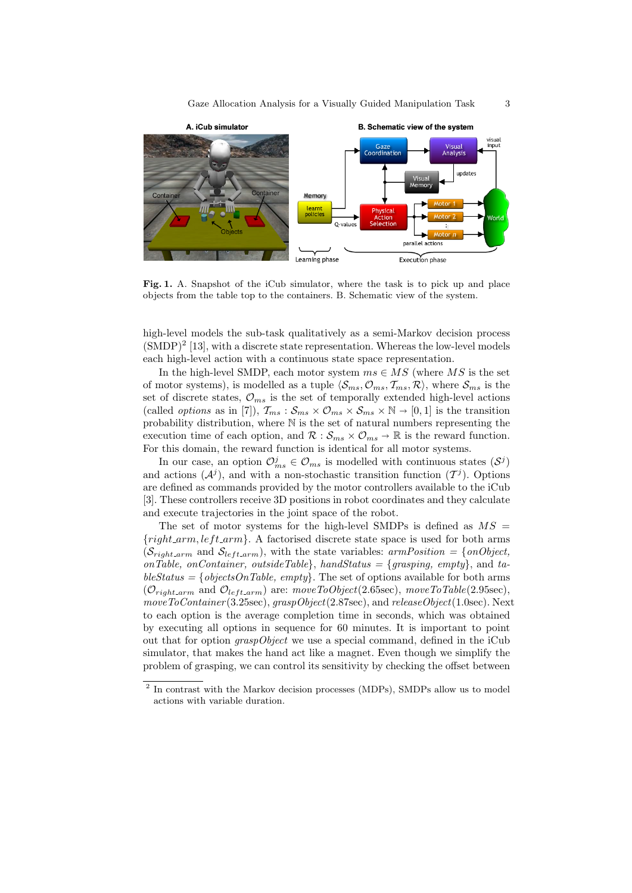

Fig. 1. A. Snapshot of the iCub simulator, where the task is to pick up and place objects from the table top to the containers. B. Schematic view of the system.

high-level models the sub-task qualitatively as a semi-Markov decision process  $(SMDP)^{2}$  [13], with a discrete state representation. Whereas the low-level models each high-level action with a continuous state space representation.

In the high-level SMDP, each motor system  $ms \in MS$  (where MS is the set of motor systems), is modelled as a tuple  $\langle S_{ms}, O_{ms}, T_{ms}, \mathcal{R} \rangle$ , where  $S_{ms}$  is the set of discrete states,  $\mathcal{O}_{ms}$  is the set of temporally extended high-level actions (called *options* as in [7]),  $\mathcal{T}_{ms}$ :  $\mathcal{S}_{ms} \times \mathcal{O}_{ms} \times \mathcal{S}_{ms} \times \mathbb{N} \to [0,1]$  is the transition probability distribution, where N is the set of natural numbers representing the execution time of each option, and  $\mathcal{R}: \mathcal{S}_{ms} \times \mathcal{O}_{ms} \to \mathbb{R}$  is the reward function. For this domain, the reward function is identical for all motor systems.

In our case, an option  $\mathcal{O}_{ms}^j \in \mathcal{O}_{ms}$  is modelled with continuous states  $(\mathcal{S}^j)$ and actions  $(A<sup>j</sup>)$ , and with a non-stochastic transition function  $(T<sup>j</sup>)$ . Options are defined as commands provided by the motor controllers available to the iCub [3]. These controllers receive 3D positions in robot coordinates and they calculate and execute trajectories in the joint space of the robot.

The set of motor systems for the high-level SMDPs is defined as  $MS =$  ${right\_arm, left\_arm}$ . A factorised discrete state space is used for both arms  $(\mathcal{S}_{right\_arm}$  and  $\mathcal{S}_{left\_arm}$ , with the state variables:  $armPosition = \{onObject,$ onTable, onContainer, outsideTable}, handStatus = {grasping, empty}, and ta $bleStatus = \{ objectsOnTable, empty\}.$  The set of options available for both arms  $(\mathcal{O}_{right\_arm}$  and  $\mathcal{O}_{left\_arm}$ ) are: moveToObject(2.65sec), moveToTable(2.95sec), moveToContainer (3.25sec), graspObject(2.87sec), and releaseObject(1.0sec). Next to each option is the average completion time in seconds, which was obtained by executing all options in sequence for 60 minutes. It is important to point out that for option  $graspObject$  we use a special command, defined in the iCub simulator, that makes the hand act like a magnet. Even though we simplify the problem of grasping, we can control its sensitivity by checking the offset between

<sup>&</sup>lt;sup>2</sup> In contrast with the Markov decision processes (MDPs), SMDPs allow us to model actions with variable duration.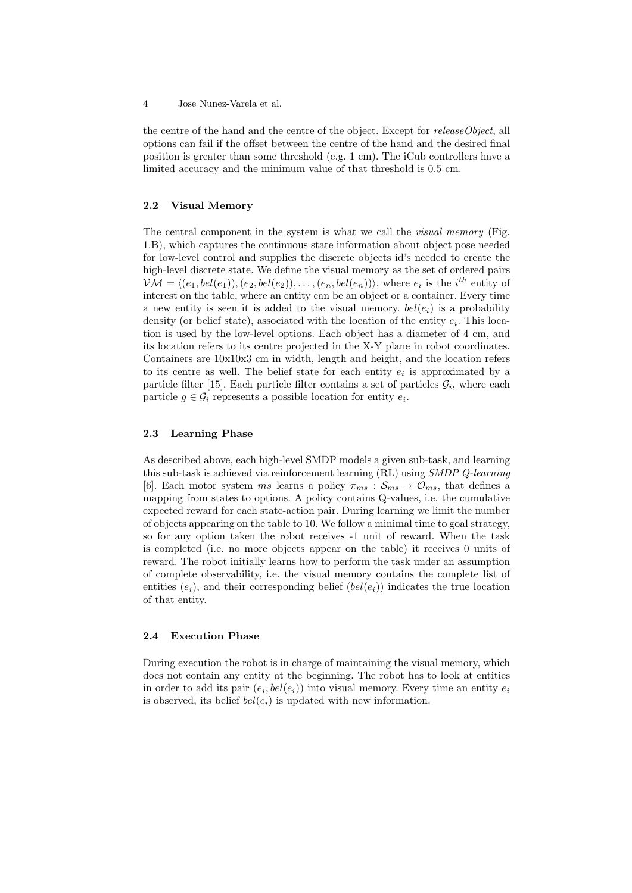the centre of the hand and the centre of the object. Except for *releaseObject*, all options can fail if the offset between the centre of the hand and the desired final position is greater than some threshold (e.g. 1 cm). The iCub controllers have a limited accuracy and the minimum value of that threshold is 0.5 cm.

## 2.2 Visual Memory

The central component in the system is what we call the *visual memory* (Fig. 1.B), which captures the continuous state information about object pose needed for low-level control and supplies the discrete objects id's needed to create the high-level discrete state. We define the visual memory as the set of ordered pairs  $VM = \langle (e_1, bel(e_1)), (e_2, bel(e_2)), \ldots, (e_n, bel(e_n)) \rangle$ , where  $e_i$  is the *i*<sup>th</sup> entity of interest on the table, where an entity can be an object or a container. Every time a new entity is seen it is added to the visual memory.  $bel(e_i)$  is a probability density (or belief state), associated with the location of the entity  $e_i$ . This location is used by the low-level options. Each object has a diameter of 4 cm, and its location refers to its centre projected in the X-Y plane in robot coordinates. Containers are 10x10x3 cm in width, length and height, and the location refers to its centre as well. The belief state for each entity  $e_i$  is approximated by a particle filter [15]. Each particle filter contains a set of particles  $\mathcal{G}_i$ , where each particle  $g \in \mathcal{G}_i$  represents a possible location for entity  $e_i$ .

## 2.3 Learning Phase

As described above, each high-level SMDP models a given sub-task, and learning this sub-task is achieved via reinforcement learning (RL) using SMDP Q-learning [6]. Each motor system ms learns a policy  $\pi_{ms} : S_{ms} \to \mathcal{O}_{ms}$ , that defines a mapping from states to options. A policy contains Q-values, i.e. the cumulative expected reward for each state-action pair. During learning we limit the number of objects appearing on the table to 10. We follow a minimal time to goal strategy, so for any option taken the robot receives -1 unit of reward. When the task is completed (i.e. no more objects appear on the table) it receives 0 units of reward. The robot initially learns how to perform the task under an assumption of complete observability, i.e. the visual memory contains the complete list of entities  $(e_i)$ , and their corresponding belief  $(bel(e_i))$  indicates the true location of that entity.

## 2.4 Execution Phase

During execution the robot is in charge of maintaining the visual memory, which does not contain any entity at the beginning. The robot has to look at entities in order to add its pair  $(e_i, bel(e_i))$  into visual memory. Every time an entity  $e_i$ is observed, its belief  $bel(e_i)$  is updated with new information.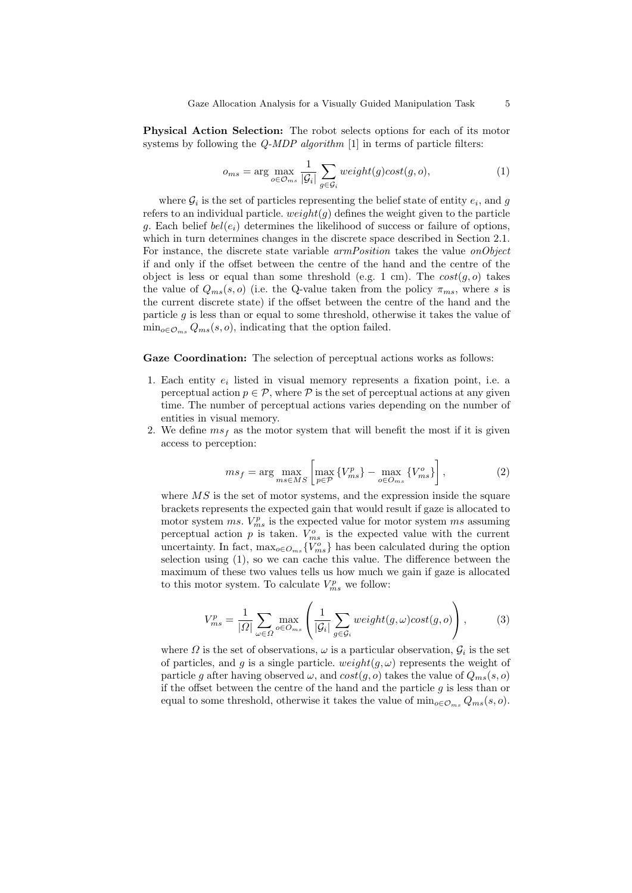Physical Action Selection: The robot selects options for each of its motor systems by following the  $Q-MDP$  algorithm  $[1]$  in terms of particle filters:

$$
o_{ms} = \arg\max_{o \in \mathcal{O}_{ms}} \frac{1}{|\mathcal{G}_i|} \sum_{g \in \mathcal{G}_i} weight(g) cost(g, o), \tag{1}
$$

where  $\mathcal{G}_i$  is the set of particles representing the belief state of entity  $e_i$ , and g refers to an individual particle.  $weight(g)$  defines the weight given to the particle g. Each belief  $bel(e_i)$  determines the likelihood of success or failure of options, which in turn determines changes in the discrete space described in Section 2.1. For instance, the discrete state variable *armPosition* takes the value *onObject* if and only if the offset between the centre of the hand and the centre of the object is less or equal than some threshold (e.g. 1 cm). The  $cost(q, o)$  takes the value of  $Q_{ms}(s, o)$  (i.e. the Q-value taken from the policy  $\pi_{ms}$ , where s is the current discrete state) if the offset between the centre of the hand and the particle  $g$  is less than or equal to some threshold, otherwise it takes the value of  $\min_{o \in \mathcal{O}_{ms}} Q_{ms}(s, o)$ , indicating that the option failed.

## Gaze Coordination: The selection of perceptual actions works as follows:

- 1. Each entity  $e_i$  listed in visual memory represents a fixation point, i.e. a perceptual action  $p \in \mathcal{P}$ , where  $\mathcal P$  is the set of perceptual actions at any given time. The number of perceptual actions varies depending on the number of entities in visual memory.
- 2. We define  $ms_f$  as the motor system that will benefit the most if it is given access to perception:

$$
ms_f = \arg\max_{ms \in MS} \left[ \max_{p \in \mathcal{P}} \left\{ V_{ms}^p \right\} - \max_{o \in O_{ms}} \left\{ V_{ms}^o \right\} \right],\tag{2}
$$

where  $\overline{MS}$  is the set of motor systems, and the expression inside the square brackets represents the expected gain that would result if gaze is allocated to motor system  $ms. V_{ms}^p$  is the expected value for motor system  $ms$  assuming perceptual action  $p$  is taken.  $V_{ms}^o$  is the expected value with the current uncertainty. In fact,  $\max_{o \in O_{ms}} \{V_{ms}^o\}$  has been calculated during the option selection using (1), so we can cache this value. The difference between the maximum of these two values tells us how much we gain if gaze is allocated to this motor system. To calculate  $V_{ms}^p$  we follow:

$$
V_{ms}^{p} = \frac{1}{|\Omega|} \sum_{\omega \in \Omega} \max_{o \in O_{ms}} \left( \frac{1}{|\mathcal{G}_{i}|} \sum_{g \in \mathcal{G}_{i}} weight(g, \omega) cost(g, o) \right), \tag{3}
$$

where  $\Omega$  is the set of observations,  $\omega$  is a particular observation,  $\mathcal{G}_i$  is the set of particles, and g is a single particle.  $weight(g, \omega)$  represents the weight of particle g after having observed  $\omega$ , and  $cost(g, o)$  takes the value of  $Q_{ms}(s, o)$ if the offset between the centre of the hand and the particle  $g$  is less than or equal to some threshold, otherwise it takes the value of  $\min_{o \in \mathcal{O}_{ms}} Q_{ms}(s, o)$ .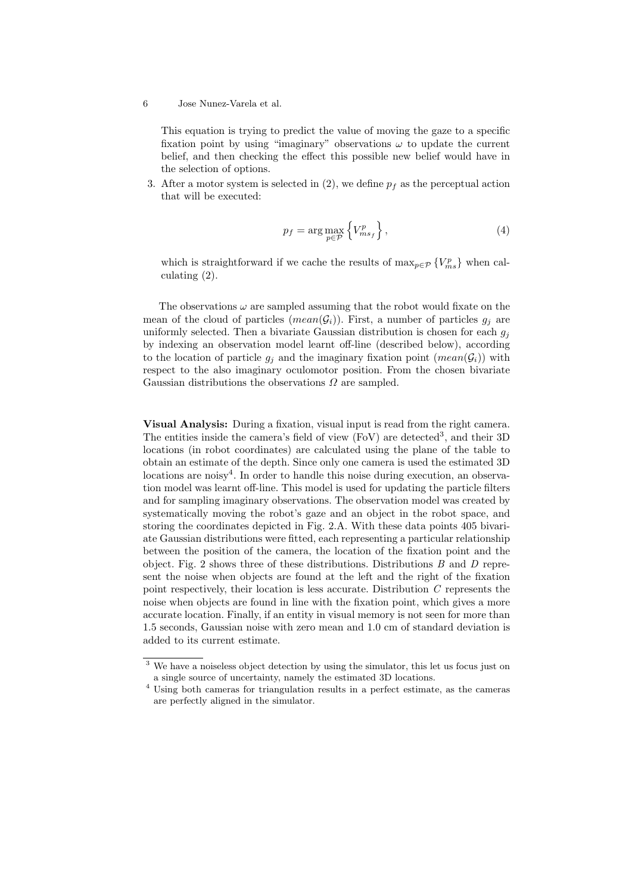This equation is trying to predict the value of moving the gaze to a specific fixation point by using "imaginary" observations  $\omega$  to update the current belief, and then checking the effect this possible new belief would have in the selection of options.

3. After a motor system is selected in (2), we define  $p_f$  as the perceptual action that will be executed:

$$
p_f = \arg\max_{p \in \mathcal{P}} \left\{ V_{ms_f}^p \right\},\tag{4}
$$

which is straightforward if we cache the results of  $\max_{p \in \mathcal{P}} \{V_{ms}^p\}$  when calculating (2).

The observations  $\omega$  are sampled assuming that the robot would fixate on the mean of the cloud of particles  $(mean(G_i))$ . First, a number of particles  $g_i$  are uniformly selected. Then a bivariate Gaussian distribution is chosen for each  $g_i$ by indexing an observation model learnt off-line (described below), according to the location of particle  $g_i$  and the imaginary fixation point  $(\text{mean}(\mathcal{G}_i))$  with respect to the also imaginary oculomotor position. From the chosen bivariate Gaussian distributions the observations  $\Omega$  are sampled.

Visual Analysis: During a fixation, visual input is read from the right camera. The entities inside the camera's field of view (FoV) are detected<sup>3</sup>, and their 3D locations (in robot coordinates) are calculated using the plane of the table to obtain an estimate of the depth. Since only one camera is used the estimated 3D locations are noisy<sup>4</sup>. In order to handle this noise during execution, an observation model was learnt off-line. This model is used for updating the particle filters and for sampling imaginary observations. The observation model was created by systematically moving the robot's gaze and an object in the robot space, and storing the coordinates depicted in Fig. 2.A. With these data points 405 bivariate Gaussian distributions were fitted, each representing a particular relationship between the position of the camera, the location of the fixation point and the object. Fig. 2 shows three of these distributions. Distributions  $B$  and  $D$  represent the noise when objects are found at the left and the right of the fixation point respectively, their location is less accurate. Distribution C represents the noise when objects are found in line with the fixation point, which gives a more accurate location. Finally, if an entity in visual memory is not seen for more than 1.5 seconds, Gaussian noise with zero mean and 1.0 cm of standard deviation is added to its current estimate.

<sup>3</sup> We have a noiseless object detection by using the simulator, this let us focus just on a single source of uncertainty, namely the estimated 3D locations.

<sup>4</sup> Using both cameras for triangulation results in a perfect estimate, as the cameras are perfectly aligned in the simulator.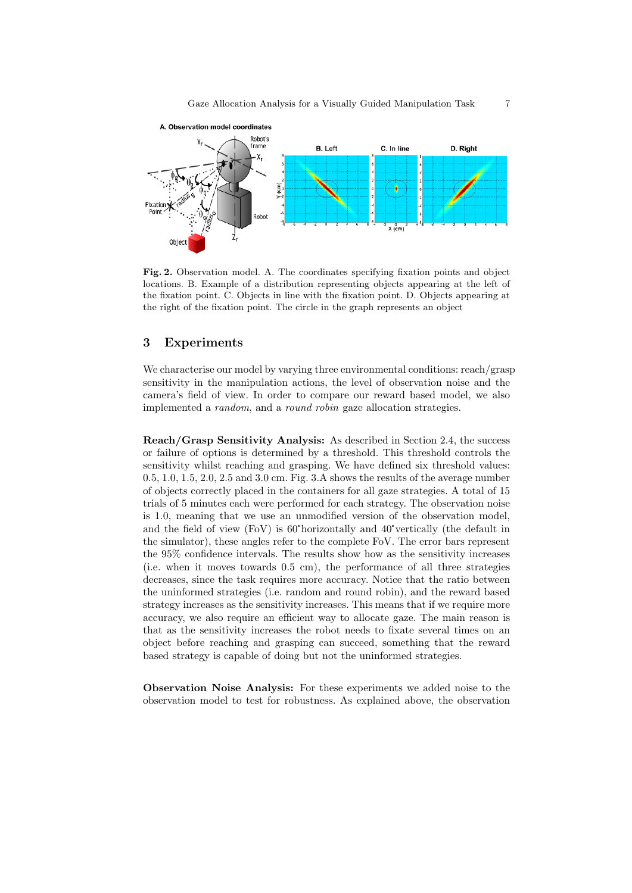

Fig. 2. Observation model. A. The coordinates specifying fixation points and object locations. B. Example of a distribution representing objects appearing at the left of the fixation point. C. Objects in line with the fixation point. D. Objects appearing at the right of the fixation point. The circle in the graph represents an object

# 3 Experiments

We characterise our model by varying three environmental conditions: reach/grasp sensitivity in the manipulation actions, the level of observation noise and the camera's field of view. In order to compare our reward based model, we also implemented a random, and a round robin gaze allocation strategies.

Reach/Grasp Sensitivity Analysis: As described in Section 2.4, the success or failure of options is determined by a threshold. This threshold controls the sensitivity whilst reaching and grasping. We have defined six threshold values: 0.5, 1.0, 1.5, 2.0, 2.5 and 3.0 cm. Fig. 3.A shows the results of the average number of objects correctly placed in the containers for all gaze strategies. A total of 15 trials of 5 minutes each were performed for each strategy. The observation noise is 1.0, meaning that we use an unmodified version of the observation model, trials of 5 minutes each were performed for each strategy. The observation noise<br>is 1.0, meaning that we use an unmodified version of the observation model,<br>and the field of view (FoV) is 60°horizontally and 40°vertically the simulator), these angles refer to the complete FoV. The error bars represent the 95% confidence intervals. The results show how as the sensitivity increases (i.e. when it moves towards 0.5 cm), the performance of all three strategies decreases, since the task requires more accuracy. Notice that the ratio between the uninformed strategies (i.e. random and round robin), and the reward based strategy increases as the sensitivity increases. This means that if we require more accuracy, we also require an efficient way to allocate gaze. The main reason is that as the sensitivity increases the robot needs to fixate several times on an object before reaching and grasping can succeed, something that the reward based strategy is capable of doing but not the uninformed strategies.

Observation Noise Analysis: For these experiments we added noise to the observation model to test for robustness. As explained above, the observation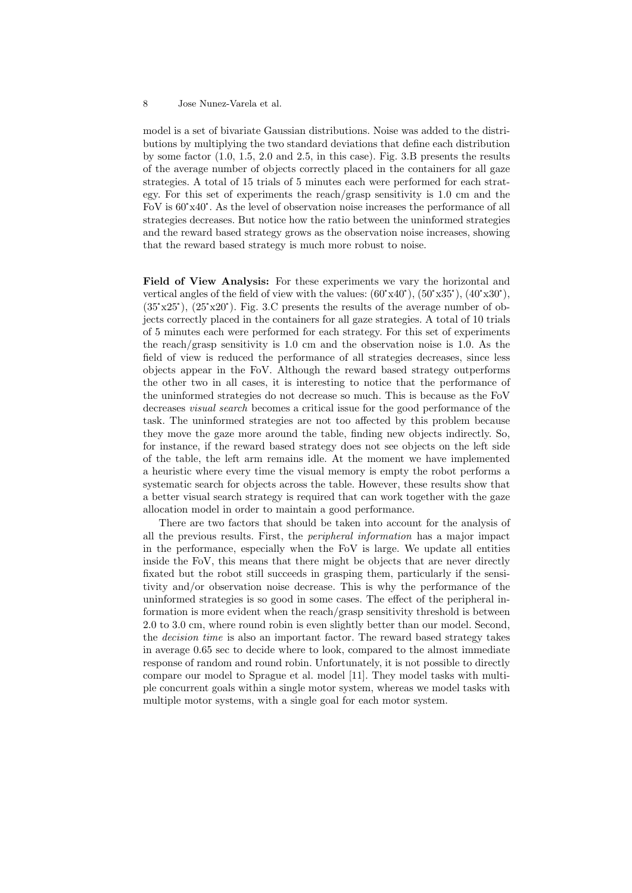model is a set of bivariate Gaussian distributions. Noise was added to the distributions by multiplying the two standard deviations that define each distribution by some factor (1.0, 1.5, 2.0 and 2.5, in this case). Fig. 3.B presents the results of the average number of objects correctly placed in the containers for all gaze strategies. A total of 15 trials of 5 minutes each were performed for each strategy. For this set of experiments the reach/grasp sensitivity is 1.0 cm and the strategies. A total of 15 trials of 5 minutes each were performed for each strategy. For this set of experiments the reach/grasp sensitivity is 1.0 cm and the FoV is  $60^{\circ}x40^{\circ}$ . As the level of observation noise incr strategies decreases. But notice how the ratio between the uninformed strategies and the reward based strategy grows as the observation noise increases, showing that the reward based strategy is much more robust to noise.

Field of View Analysis: For these experiments we vary the horizontal and vertical angles of the field of view with the values:  $(60°x40°)$ ,  $(50°x35°)$ ,  $(40°x30°)$ ,  $(35^\circ \text{x} 25^\circ)$ ,  $(25^\circ \text{x} 20^\circ)$ . Fig. 3.C presents the results of the average number of objects correctly placed in the containers for all gaze strategies. A total of 10 trials of 5 minutes each were performed for each strategy. For this set of experiments the reach/grasp sensitivity is 1.0 cm and the observation noise is 1.0. As the field of view is reduced the performance of all strategies decreases, since less objects appear in the FoV. Although the reward based strategy outperforms the other two in all cases, it is interesting to notice that the performance of the uninformed strategies do not decrease so much. This is because as the FoV decreases *visual search* becomes a critical issue for the good performance of the task. The uninformed strategies are not too affected by this problem because they move the gaze more around the table, finding new objects indirectly. So, for instance, if the reward based strategy does not see objects on the left side of the table, the left arm remains idle. At the moment we have implemented a heuristic where every time the visual memory is empty the robot performs a systematic search for objects across the table. However, these results show that a better visual search strategy is required that can work together with the gaze allocation model in order to maintain a good performance.

There are two factors that should be taken into account for the analysis of all the previous results. First, the peripheral information has a major impact in the performance, especially when the FoV is large. We update all entities inside the FoV, this means that there might be objects that are never directly fixated but the robot still succeeds in grasping them, particularly if the sensitivity and/or observation noise decrease. This is why the performance of the uninformed strategies is so good in some cases. The effect of the peripheral information is more evident when the reach/grasp sensitivity threshold is between 2.0 to 3.0 cm, where round robin is even slightly better than our model. Second, the decision time is also an important factor. The reward based strategy takes in average 0.65 sec to decide where to look, compared to the almost immediate response of random and round robin. Unfortunately, it is not possible to directly compare our model to Sprague et al. model [11]. They model tasks with multiple concurrent goals within a single motor system, whereas we model tasks with multiple motor systems, with a single goal for each motor system.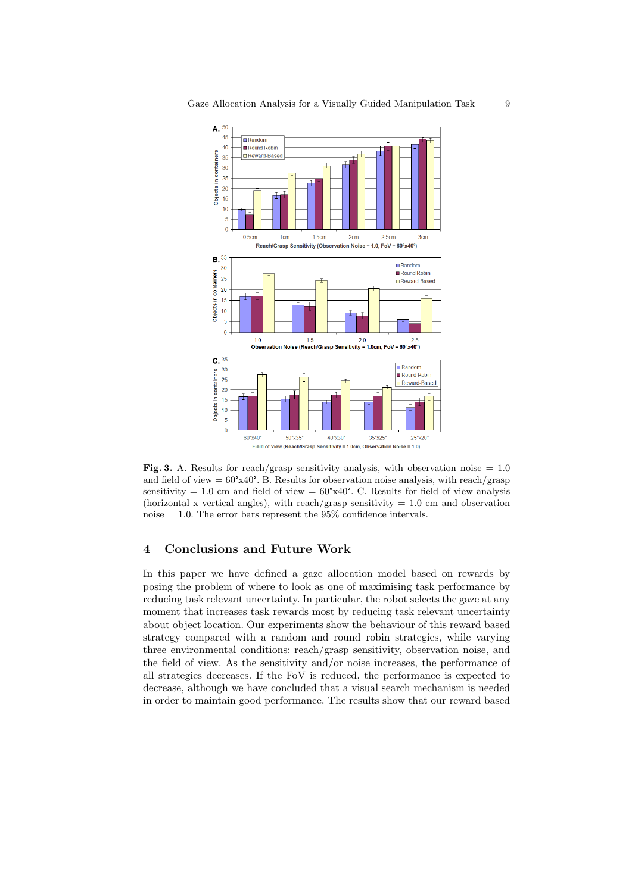

**Fig. 3.** A. Results for reach/grasp sensitivity analysis, with observation noise  $= 1.0$ **Fig. 3.** A. Results for reach/grasp sensitivity analysis, with observation noise =  $1.0$  and field of view =  $60^{\circ}x40^{\circ}$ . B. Results for observation noise analysis, with reach/grasp **Fig. 3.** A. Results for reach/grasp sensitivity analysis, with observation noise = 1.0 and field of view = 60°x40°. B. Results for observation noise analysis, with reach/grasp sensitivity = 1.0 cm and field of view = 60° (horizontal x vertical angles), with reach/grasp sensitivity  $= 1.0$  cm and observation noise  $= 1.0$ . The error bars represent the 95% confidence intervals.

# 4 Conclusions and Future Work

In this paper we have defined a gaze allocation model based on rewards by posing the problem of where to look as one of maximising task performance by reducing task relevant uncertainty. In particular, the robot selects the gaze at any moment that increases task rewards most by reducing task relevant uncertainty about object location. Our experiments show the behaviour of this reward based strategy compared with a random and round robin strategies, while varying three environmental conditions: reach/grasp sensitivity, observation noise, and the field of view. As the sensitivity and/or noise increases, the performance of all strategies decreases. If the FoV is reduced, the performance is expected to decrease, although we have concluded that a visual search mechanism is needed in order to maintain good performance. The results show that our reward based